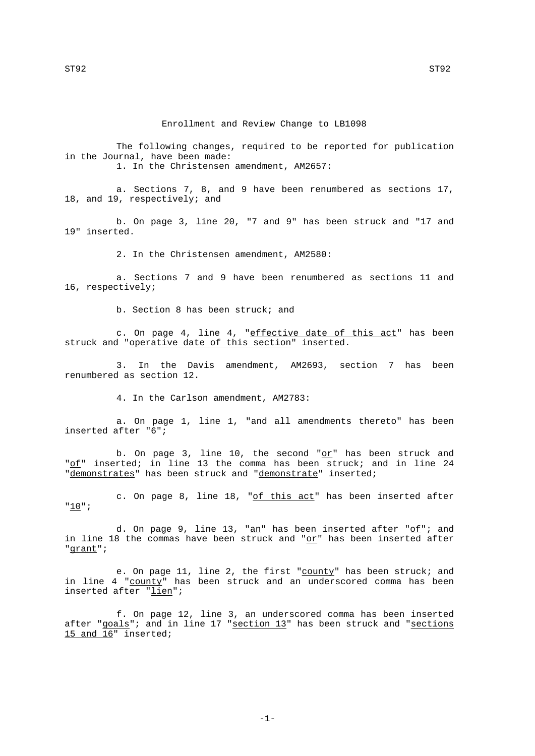Enrollment and Review Change to LB1098

The following changes, required to be reported for publication in the Journal, have been made:

1. In the Christensen amendment, AM2657:

a. Sections 7, 8, and 9 have been renumbered as sections 17, 18, and 19, respectively; and

b. On page 3, line 20, "7 and 9" has been struck and "17 and 19" inserted.

2. In the Christensen amendment, AM2580:

a. Sections 7 and 9 have been renumbered as sections 11 and 16, respectively;

b. Section 8 has been struck; and

c. On page 4, line 4, "effective date of this act" has been struck and "operative date of this section" inserted.

3. In the Davis amendment, AM2693, section 7 has been renumbered as section 12.

4. In the Carlson amendment, AM2783:

a. On page 1, line 1, "and all amendments thereto" has been inserted after "6";

b. On page 3, line 10, the second " $o$ r" has been struck and "of" inserted; in line 13 the comma has been struck; and in line 24 "demonstrates" has been struck and "demonstrate" inserted;

c. On page 8, line 18, "of this act" has been inserted after "10";

d. On page 9, line 13, " $\underline{an}$ " has been inserted after " $\underline{of}$ "; and in line 18 the commas have been struck and " $or$ " has been inserted after</u> "grant";

e. On page 11, line 2, the first "county" has been struck; and in line 4 "county" has been struck and an underscored comma has been inserted after "lien";

f. On page 12, line 3, an underscored comma has been inserted after "goals"; and in line 17 "section 13" has been struck and "sections 15 and 16" inserted;